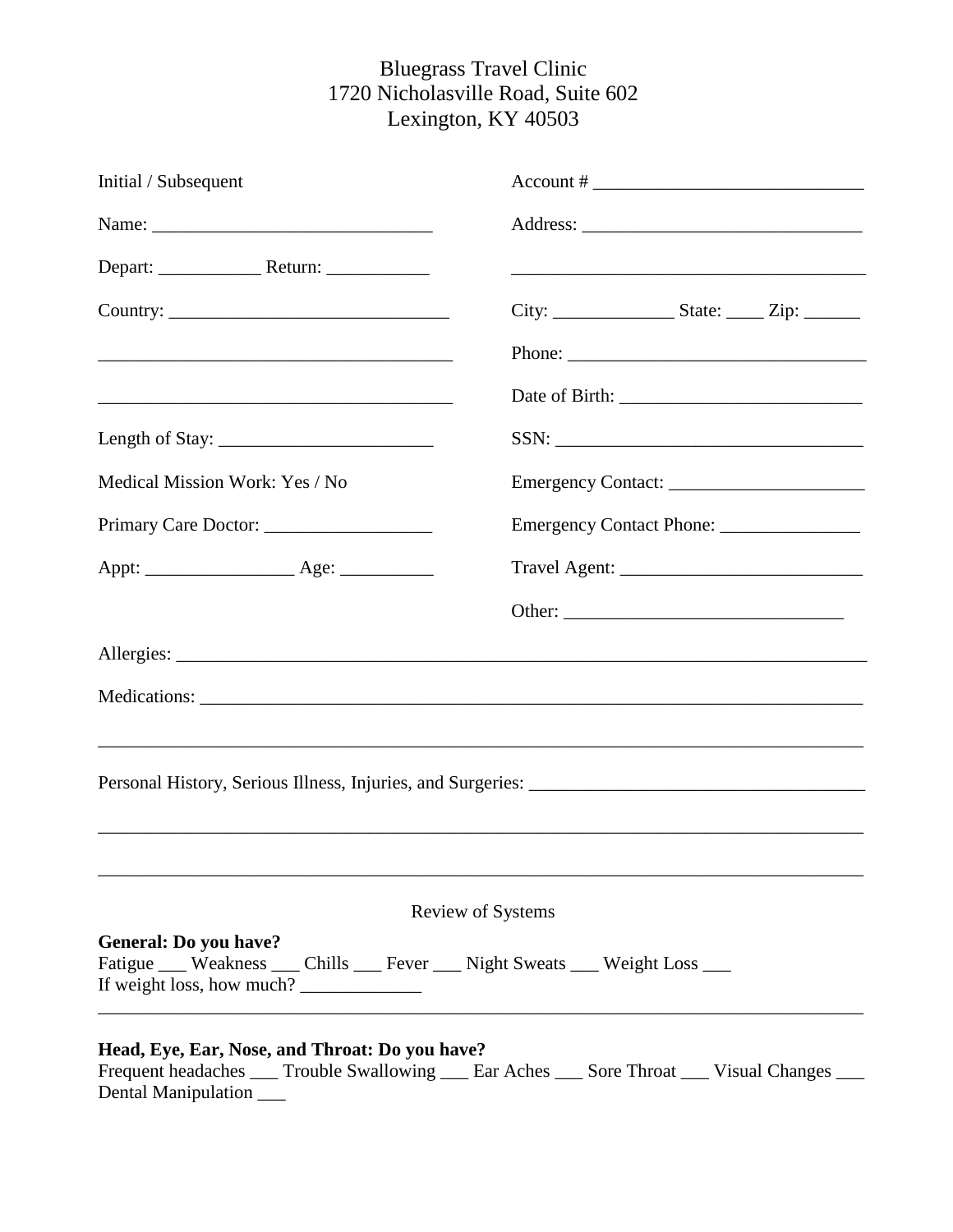# Bluegrass Travel Clinic 1720 Nicholasville Road, Suite 602 Lexington, KY 40503

| Initial / Subsequent                                                                                                                                                                  | $Account # \_$ |  |  |  |  |
|---------------------------------------------------------------------------------------------------------------------------------------------------------------------------------------|----------------|--|--|--|--|
| Name:                                                                                                                                                                                 |                |  |  |  |  |
|                                                                                                                                                                                       |                |  |  |  |  |
|                                                                                                                                                                                       |                |  |  |  |  |
| <u> 2000 - Jan Berlin, Amerikaansk politiker (d. 1982)</u>                                                                                                                            |                |  |  |  |  |
| <u> 1989 - Johann John Stoff, deutscher Stoffen und der Stoffen und der Stoffen und der Stoffen und der Stoffen un</u>                                                                |                |  |  |  |  |
| Length of Stay: $\frac{1}{2}$                                                                                                                                                         |                |  |  |  |  |
| Medical Mission Work: Yes / No                                                                                                                                                        |                |  |  |  |  |
| Primary Care Doctor:                                                                                                                                                                  |                |  |  |  |  |
|                                                                                                                                                                                       |                |  |  |  |  |
|                                                                                                                                                                                       |                |  |  |  |  |
|                                                                                                                                                                                       |                |  |  |  |  |
|                                                                                                                                                                                       |                |  |  |  |  |
|                                                                                                                                                                                       |                |  |  |  |  |
|                                                                                                                                                                                       |                |  |  |  |  |
|                                                                                                                                                                                       |                |  |  |  |  |
|                                                                                                                                                                                       |                |  |  |  |  |
| <b>Review of Systems</b>                                                                                                                                                              |                |  |  |  |  |
| <b>General: Do you have?</b><br>Fatigue ___ Weakness ___ Chills ___ Fever ___ Night Sweats ___ Weight Loss ___<br>If weight loss, how much?                                           |                |  |  |  |  |
| Head, Eye, Ear, Nose, and Throat: Do you have?<br>Frequent headaches _____ Trouble Swallowing _____ Ear Aches _____ Sore Throat _____ Visual Changes ____<br>Dental Manipulation ____ |                |  |  |  |  |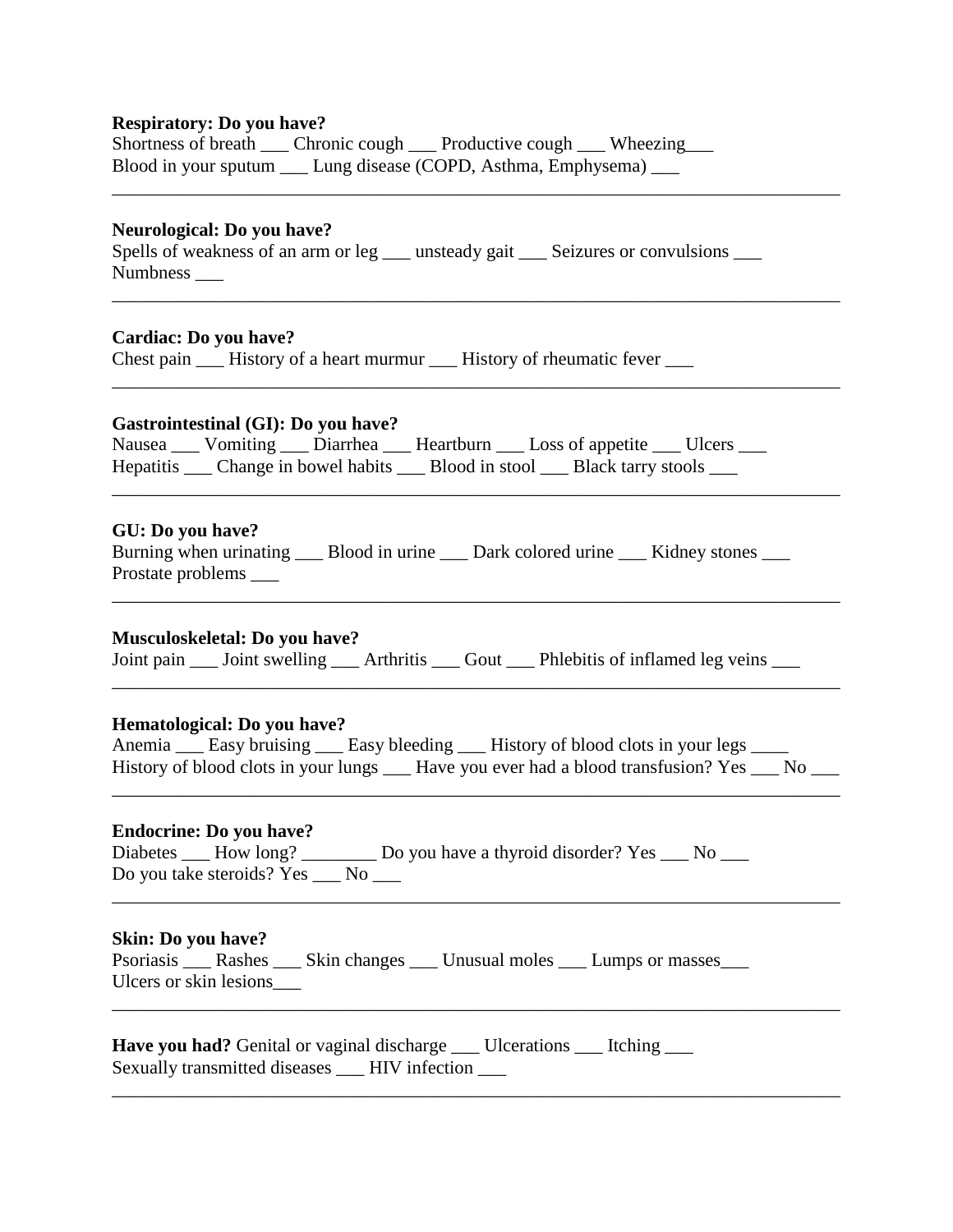## **Respiratory: Do you have?**

| Shortness of breath  | Chronic cough _____ Productive cough _____ Wheezing____ |  |
|----------------------|---------------------------------------------------------|--|
| Blood in your sputum | Lung disease (COPD, Asthma, Emphysema) ___              |  |

## **Neurological: Do you have?**

Spells of weakness of an arm or leg \_\_\_ unsteady gait \_\_\_ Seizures or convulsions \_\_\_ Numbness \_\_\_

\_\_\_\_\_\_\_\_\_\_\_\_\_\_\_\_\_\_\_\_\_\_\_\_\_\_\_\_\_\_\_\_\_\_\_\_\_\_\_\_\_\_\_\_\_\_\_\_\_\_\_\_\_\_\_\_\_\_\_\_\_\_\_\_\_\_\_\_\_\_\_\_\_\_\_\_\_\_

\_\_\_\_\_\_\_\_\_\_\_\_\_\_\_\_\_\_\_\_\_\_\_\_\_\_\_\_\_\_\_\_\_\_\_\_\_\_\_\_\_\_\_\_\_\_\_\_\_\_\_\_\_\_\_\_\_\_\_\_\_\_\_\_\_\_\_\_\_\_\_\_\_\_\_\_\_\_

\_\_\_\_\_\_\_\_\_\_\_\_\_\_\_\_\_\_\_\_\_\_\_\_\_\_\_\_\_\_\_\_\_\_\_\_\_\_\_\_\_\_\_\_\_\_\_\_\_\_\_\_\_\_\_\_\_\_\_\_\_\_\_\_\_\_\_\_\_\_\_\_\_\_\_\_\_\_

## **Cardiac: Do you have?**

Chest pain \_\_\_\_ History of a heart murmur \_\_\_\_ History of rheumatic fever \_\_\_\_

## **Gastrointestinal (GI): Do you have?**

|  |  | Nausea ____ Vomiting ____ Diarrhea ____ Heartburn ____ Loss of appetite ____ Ulcers ____    |  |
|--|--|---------------------------------------------------------------------------------------------|--|
|  |  | Hepatitis _____ Change in bowel habits ______ Blood in stool _____ Black tarry stools _____ |  |
|  |  |                                                                                             |  |

#### **GU: Do you have?**

| Burning when urinating _____ Blood in urine _____ Dark colored urine _____ Kidney stones |  |  |
|------------------------------------------------------------------------------------------|--|--|
| Prostate problems                                                                        |  |  |

 $\mathcal{L}_\text{max} = \frac{1}{2} \sum_{i=1}^{n} \frac{1}{2} \sum_{j=1}^{n} \frac{1}{2} \sum_{j=1}^{n} \frac{1}{2} \sum_{j=1}^{n} \frac{1}{2} \sum_{j=1}^{n} \frac{1}{2} \sum_{j=1}^{n} \frac{1}{2} \sum_{j=1}^{n} \frac{1}{2} \sum_{j=1}^{n} \frac{1}{2} \sum_{j=1}^{n} \frac{1}{2} \sum_{j=1}^{n} \frac{1}{2} \sum_{j=1}^{n} \frac{1}{2} \sum_{j=1}^{n} \frac{1$ 

#### **Musculoskeletal: Do you have?**

Joint pain \_\_\_ Joint swelling \_\_\_\_ Arthritis \_\_\_\_ Gout \_\_\_\_ Phlebitis of inflamed leg veins \_\_\_\_

#### **Hematological: Do you have?**

| Anemia <u>example</u> Easy bruising <u>example Easy bleeding experience</u> History of blood clots in your legs <u>example</u> |  |  |  |
|--------------------------------------------------------------------------------------------------------------------------------|--|--|--|
| History of blood clots in your lungs <sub>—</sub> Have you ever had a blood transfusion? Yes <sub>—</sub>                      |  |  |  |

\_\_\_\_\_\_\_\_\_\_\_\_\_\_\_\_\_\_\_\_\_\_\_\_\_\_\_\_\_\_\_\_\_\_\_\_\_\_\_\_\_\_\_\_\_\_\_\_\_\_\_\_\_\_\_\_\_\_\_\_\_\_\_\_\_\_\_\_\_\_\_\_\_\_\_\_\_\_

\_\_\_\_\_\_\_\_\_\_\_\_\_\_\_\_\_\_\_\_\_\_\_\_\_\_\_\_\_\_\_\_\_\_\_\_\_\_\_\_\_\_\_\_\_\_\_\_\_\_\_\_\_\_\_\_\_\_\_\_\_\_\_\_\_\_\_\_\_\_\_\_\_\_\_\_\_\_

\_\_\_\_\_\_\_\_\_\_\_\_\_\_\_\_\_\_\_\_\_\_\_\_\_\_\_\_\_\_\_\_\_\_\_\_\_\_\_\_\_\_\_\_\_\_\_\_\_\_\_\_\_\_\_\_\_\_\_\_\_\_\_\_\_\_\_\_\_\_\_\_\_\_\_\_\_\_

\_\_\_\_\_\_\_\_\_\_\_\_\_\_\_\_\_\_\_\_\_\_\_\_\_\_\_\_\_\_\_\_\_\_\_\_\_\_\_\_\_\_\_\_\_\_\_\_\_\_\_\_\_\_\_\_\_\_\_\_\_\_\_\_\_\_\_\_\_\_\_\_\_\_\_\_\_\_

\_\_\_\_\_\_\_\_\_\_\_\_\_\_\_\_\_\_\_\_\_\_\_\_\_\_\_\_\_\_\_\_\_\_\_\_\_\_\_\_\_\_\_\_\_\_\_\_\_\_\_\_\_\_\_\_\_\_\_\_\_\_\_\_\_\_\_\_\_\_\_\_\_\_\_\_\_\_

#### **Endocrine: Do you have?**

| Diabetes $\_\_\$ How long? $\_\_\_\_\_\_\_\_\_\_\_\_\$ | _ Do you have a thyroid disorder? Yes ___ No |  |
|--------------------------------------------------------|----------------------------------------------|--|
| Do you take steroids? Yes ___ No                       |                                              |  |

#### **Skin: Do you have?**

Psoriasis \_\_\_ Rashes \_\_\_ Skin changes \_\_\_ Unusual moles \_\_\_ Lumps or masses\_\_\_ Ulcers or skin lesions\_\_\_

**Have you had?** Genital or vaginal discharge \_\_\_ Ulcerations \_\_\_ Itching \_\_\_ Sexually transmitted diseases \_\_\_ HIV infection \_\_\_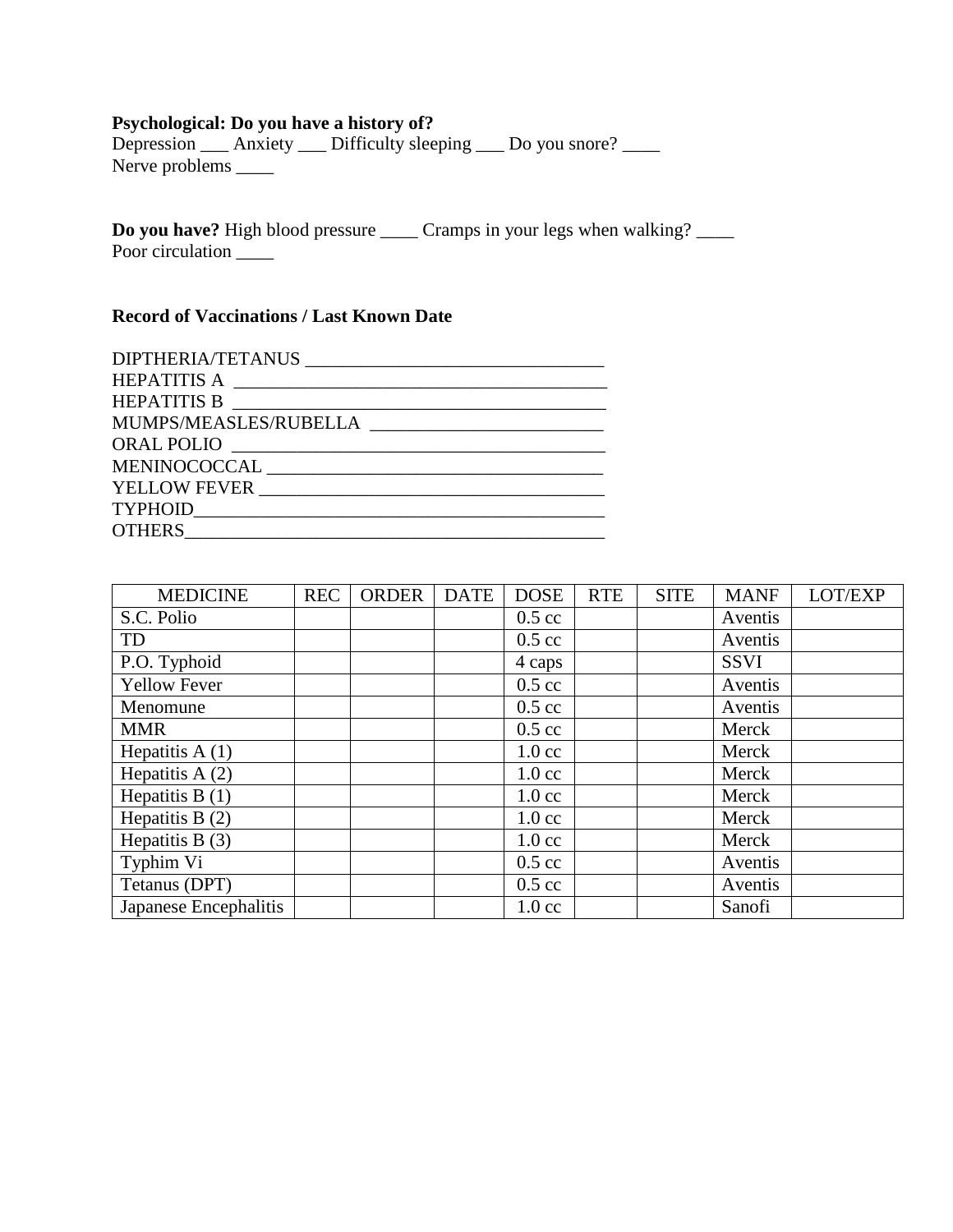# **Psychological: Do you have a history of?**

Depression \_\_\_\_ Anxiety \_\_\_\_ Difficulty sleeping \_\_\_\_ Do you snore? \_\_\_\_\_ Nerve problems \_\_\_\_\_\_

**Do you have?** High blood pressure \_\_\_\_\_ Cramps in your legs when walking? \_\_\_\_\_ Poor circulation  $\frac{1}{\sqrt{2}}$ 

# **Record of Vaccinations / Last Known Date**

| HEPATITIS B           |
|-----------------------|
| MUMPS/MEASLES/RUBELLA |
| ORAL POLIO            |
|                       |
| YELLOW FEVER          |
|                       |
|                       |

| <b>MEDICINE</b>       | <b>REC</b> | <b>ORDER</b> | <b>DATE</b> | <b>DOSE</b>      | <b>RTE</b> | <b>SITE</b> | <b>MANF</b> | LOT/EXP |
|-----------------------|------------|--------------|-------------|------------------|------------|-------------|-------------|---------|
| S.C. Polio            |            |              |             | $0.5 \text{ cc}$ |            |             | Aventis     |         |
| TD                    |            |              |             | $0.5 \text{ cc}$ |            |             | Aventis     |         |
| P.O. Typhoid          |            |              |             | 4 caps           |            |             | <b>SSVI</b> |         |
| <b>Yellow Fever</b>   |            |              |             | $0.5 \text{ cc}$ |            |             | Aventis     |         |
| Menomune              |            |              |             | $0.5 \text{ cc}$ |            |             | Aventis     |         |
| <b>MMR</b>            |            |              |             | $0.5 \text{ cc}$ |            |             | Merck       |         |
| Hepatitis $A(1)$      |            |              |             | $1.0 \text{ cc}$ |            |             | Merck       |         |
| Hepatitis $A(2)$      |            |              |             | $1.0 \text{ cc}$ |            |             | Merck       |         |
| Hepatitis $B(1)$      |            |              |             | $1.0 \text{ cc}$ |            |             | Merck       |         |
| Hepatitis B $(2)$     |            |              |             | $1.0 \text{ cc}$ |            |             | Merck       |         |
| Hepatitis B $(3)$     |            |              |             | $1.0 \text{ cc}$ |            |             | Merck       |         |
| Typhim Vi             |            |              |             | $0.5 \text{ cc}$ |            |             | Aventis     |         |
| Tetanus (DPT)         |            |              |             | $0.5 \text{ cc}$ |            |             | Aventis     |         |
| Japanese Encephalitis |            |              |             | $1.0 \text{ cc}$ |            |             | Sanofi      |         |